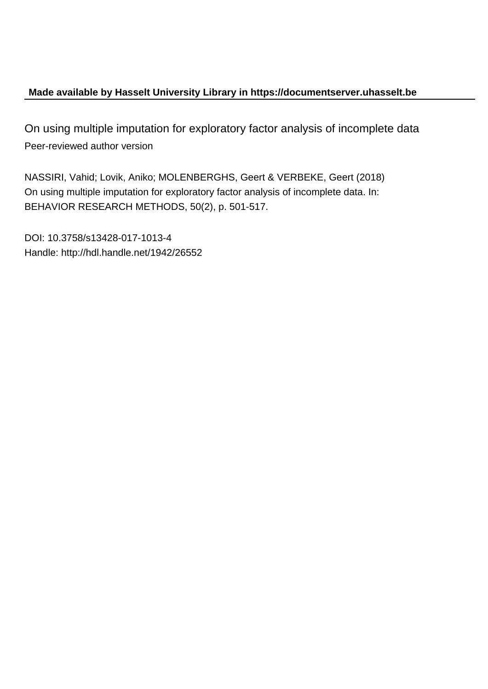## **Made available by Hasselt University Library in https://documentserver.uhasselt.be**

On using multiple imputation for exploratory factor analysis of incomplete data Peer-reviewed author version

NASSIRI, Vahid; Lovik, Aniko; MOLENBERGHS, Geert & VERBEKE, Geert (2018) On using multiple imputation for exploratory factor analysis of incomplete data. In: BEHAVIOR RESEARCH METHODS, 50(2), p. 501-517.

DOI: 10.3758/s13428-017-1013-4 Handle: http://hdl.handle.net/1942/26552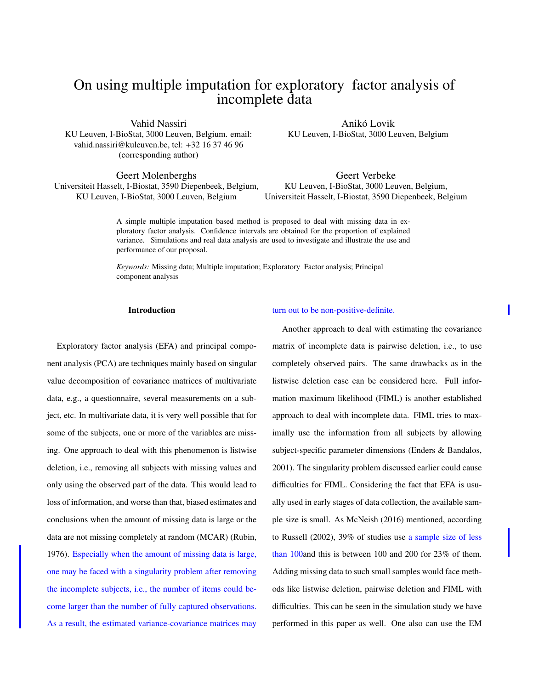# On using multiple imputation for exploratory factor analysis of incomplete data

Vahid Nassiri KU Leuven, I-BioStat, 3000 Leuven, Belgium. email: vahid.nassiri@kuleuven.be, tel: +32 16 37 46 96 (corresponding author)

Geert Molenberghs Universiteit Hasselt, I-Biostat, 3590 Diepenbeek, Belgium, KU Leuven, I-BioStat, 3000 Leuven, Belgium

Anikó Lovik KU Leuven, I-BioStat, 3000 Leuven, Belgium

Geert Verbeke KU Leuven, I-BioStat, 3000 Leuven, Belgium, Universiteit Hasselt, I-Biostat, 3590 Diepenbeek, Belgium

A simple multiple imputation based method is proposed to deal with missing data in exploratory factor analysis. Confidence intervals are obtained for the proportion of explained variance. Simulations and real data analysis are used to investigate and illustrate the use and performance of our proposal.

*Keywords:* Missing data; Multiple imputation; Exploratory Factor analysis; Principal component analysis

### Introduction

Exploratory factor analysis (EFA) and principal component analysis (PCA) are techniques mainly based on singular value decomposition of covariance matrices of multivariate data, e.g., a questionnaire, several measurements on a subject, etc. In multivariate data, it is very well possible that for some of the subjects, one or more of the variables are missing. One approach to deal with this phenomenon is listwise deletion, i.e., removing all subjects with missing values and only using the observed part of the data. This would lead to loss of information, and worse than that, biased estimates and conclusions when the amount of missing data is large or the data are not missing completely at random (MCAR) (Rubin, 1976). Especially when the amount of missing data is large, one may be faced with a singularity problem after removing the incomplete subjects, i.e., the number of items could become larger than the number of fully captured observations. As a result, the estimated variance-covariance matrices may

#### turn out to be non-positive-definite.

Another approach to deal with estimating the covariance matrix of incomplete data is pairwise deletion, i.e., to use completely observed pairs. The same drawbacks as in the listwise deletion case can be considered here. Full information maximum likelihood (FIML) is another established approach to deal with incomplete data. FIML tries to maximally use the information from all subjects by allowing subject-specific parameter dimensions (Enders & Bandalos, 2001). The singularity problem discussed earlier could cause difficulties for FIML. Considering the fact that EFA is usually used in early stages of data collection, the available sample size is small. As McNeish (2016) mentioned, according to Russell (2002), 39% of studies use a sample size of less than 100and this is between 100 and 200 for 23% of them. Adding missing data to such small samples would face methods like listwise deletion, pairwise deletion and FIML with difficulties. This can be seen in the simulation study we have performed in this paper as well. One also can use the EM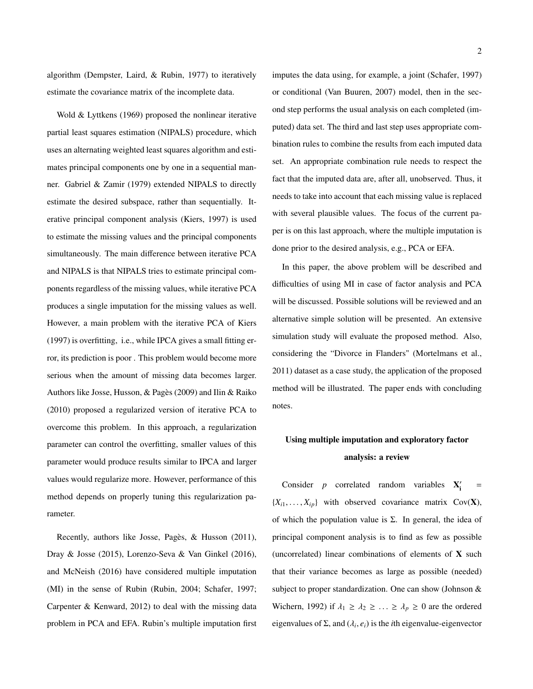algorithm (Dempster, Laird, & Rubin, 1977) to iteratively estimate the covariance matrix of the incomplete data.

Wold & Lyttkens (1969) proposed the nonlinear iterative partial least squares estimation (NIPALS) procedure, which uses an alternating weighted least squares algorithm and estimates principal components one by one in a sequential manner. Gabriel & Zamir (1979) extended NIPALS to directly estimate the desired subspace, rather than sequentially. Iterative principal component analysis (Kiers, 1997) is used to estimate the missing values and the principal components simultaneously. The main difference between iterative PCA and NIPALS is that NIPALS tries to estimate principal components regardless of the missing values, while iterative PCA produces a single imputation for the missing values as well. However, a main problem with the iterative PCA of Kiers (1997) is overfitting, i.e., while IPCA gives a small fitting error, its prediction is poor . This problem would become more serious when the amount of missing data becomes larger. Authors like Josse, Husson, & Pagès (2009) and Ilin & Raiko (2010) proposed a regularized version of iterative PCA to overcome this problem. In this approach, a regularization parameter can control the overfitting, smaller values of this parameter would produce results similar to IPCA and larger values would regularize more. However, performance of this method depends on properly tuning this regularization parameter.

Recently, authors like Josse, Pagès, & Husson (2011), Dray & Josse (2015), Lorenzo-Seva & Van Ginkel (2016), and McNeish (2016) have considered multiple imputation (MI) in the sense of Rubin (Rubin, 2004; Schafer, 1997; Carpenter & Kenward, 2012) to deal with the missing data problem in PCA and EFA. Rubin's multiple imputation first imputes the data using, for example, a joint (Schafer, 1997) or conditional (Van Buuren, 2007) model, then in the second step performs the usual analysis on each completed (imputed) data set. The third and last step uses appropriate combination rules to combine the results from each imputed data set. An appropriate combination rule needs to respect the fact that the imputed data are, after all, unobserved. Thus, it needs to take into account that each missing value is replaced with several plausible values. The focus of the current paper is on this last approach, where the multiple imputation is done prior to the desired analysis, e.g., PCA or EFA.

In this paper, the above problem will be described and difficulties of using MI in case of factor analysis and PCA will be discussed. Possible solutions will be reviewed and an alternative simple solution will be presented. An extensive simulation study will evaluate the proposed method. Also, considering the "Divorce in Flanders" (Mortelmans et al., 2011) dataset as a case study, the application of the proposed method will be illustrated. The paper ends with concluding notes.

## Using multiple imputation and exploratory factor analysis: a review

Consider  $p$  correlated random variables  $X_i'$ =  ${X_{i1}, \ldots, X_{ip}}$  with observed covariance matrix Cov(X), of which the population value is  $\Sigma$ . In general, the idea of principal component analysis is to find as few as possible (uncorrelated) linear combinations of elements of X such that their variance becomes as large as possible (needed) subject to proper standardization. One can show (Johnson & Wichern, 1992) if  $\lambda_1 \geq \lambda_2 \geq \ldots \geq \lambda_p \geq 0$  are the ordered eigenvalues of  $\Sigma$ , and  $(\lambda_i, e_i)$  is the *i*th eigenvalue-eigenvector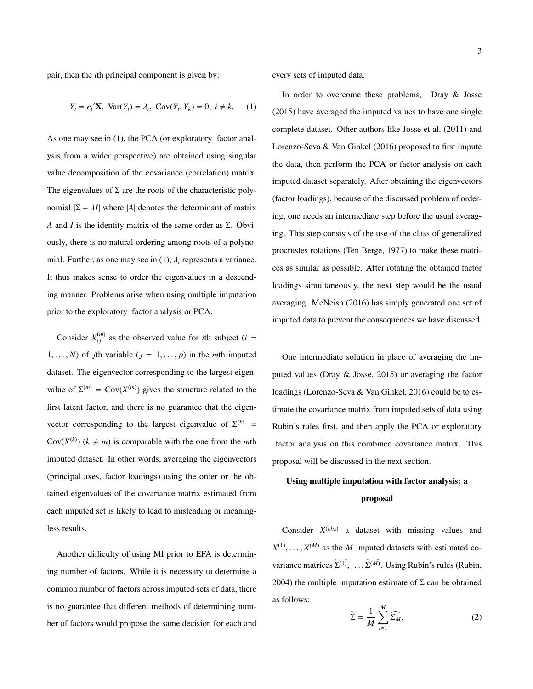pair, then the *i*th principal component is given by:

$$
Y_i = e_i' \mathbf{X}, \ \text{Var}(Y_i) = \lambda_i, \ \text{Cov}(Y_i, Y_k) = 0, \ i \neq k. \tag{1}
$$

As one may see in (1), the PCA (or exploratory factor analysis from a wider perspective) are obtained using singular value decomposition of the covariance (correlation) matrix. The eigenvalues of  $\Sigma$  are the roots of the characteristic polynomial  $|\Sigma - \lambda I|$  where |A| denotes the determinant of matrix *A* and *I* is the identity matrix of the same order as Σ. Obviously, there is no natural ordering among roots of a polynomial. Further, as one may see in  $(1)$ ,  $\lambda_i$  represents a variance. It thus makes sense to order the eigenvalues in a descending manner. Problems arise when using multiple imputation prior to the exploratory factor analysis or PCA.

Consider  $X_{ij}^{(m)}$  as the observed value for *i*th subject (*i* = 1, ..., *N*) of *j*th variable ( $j = 1, \ldots, p$ ) in the *m*th imputed dataset. The eigenvector corresponding to the largest eigenvalue of  $\Sigma^{(m)} = \text{Cov}(X^{(m)})$  gives the structure related to the first latent factor, and there is no guarantee that the eigenvector corresponding to the largest eigenvalue of  $\Sigma^{(k)}$  = Cov( $X^{(k)}$ ) ( $k \neq m$ ) is comparable with the one from the *m*th imputed dataset. In other words, averaging the eigenvectors (principal axes, factor loadings) using the order or the obtained eigenvalues of the covariance matrix estimated from each imputed set is likely to lead to misleading or meaningless results.

Another difficulty of using MI prior to EFA is determining number of factors. While it is necessary to determine a common number of factors across imputed sets of data, there is no guarantee that different methods of determining number of factors would propose the same decision for each and

every sets of imputed data.

In order to overcome these problems, Dray & Josse (2015) have averaged the imputed values to have one single complete dataset. Other authors like Josse et al. (2011) and Lorenzo-Seva & Van Ginkel (2016) proposed to first impute the data, then perform the PCA or factor analysis on each imputed dataset separately. After obtaining the eigenvectors (factor loadings), because of the discussed problem of ordering, one needs an intermediate step before the usual averaging. This step consists of the use of the class of generalized procrustes rotations (Ten Berge, 1977) to make these matrices as similar as possible. After rotating the obtained factor loadings simultaneously, the next step would be the usual averaging. McNeish (2016) has simply generated one set of imputed data to prevent the consequences we have discussed.

One intermediate solution in place of averaging the imputed values (Dray & Josse, 2015) or averaging the factor loadings (Lorenzo-Seva & Van Ginkel, 2016) could be to estimate the covariance matrix from imputed sets of data using Rubin's rules first, and then apply the PCA or exploratory factor analysis on this combined covariance matrix. This proposal will be discussed in the next section.

## Using multiple imputation with factor analysis: a proposal

Consider  $X^{(obs)}$  a dataset with missing values and  $X^{(1)}, \ldots, X^{(M)}$  as the *M* imputed datasets with estimated covariance matrices  $\Sigma^{(1)}, \dots, \Sigma^{(M)}$ . Using Rubin's rules (Rubin, 2004) the multiple imputation estimate of  $\Sigma$  can be obtained as follows: *M*

$$
\widetilde{\Sigma} = \frac{1}{M} \sum_{i=1}^{M} \widehat{\Sigma_M}.
$$
 (2)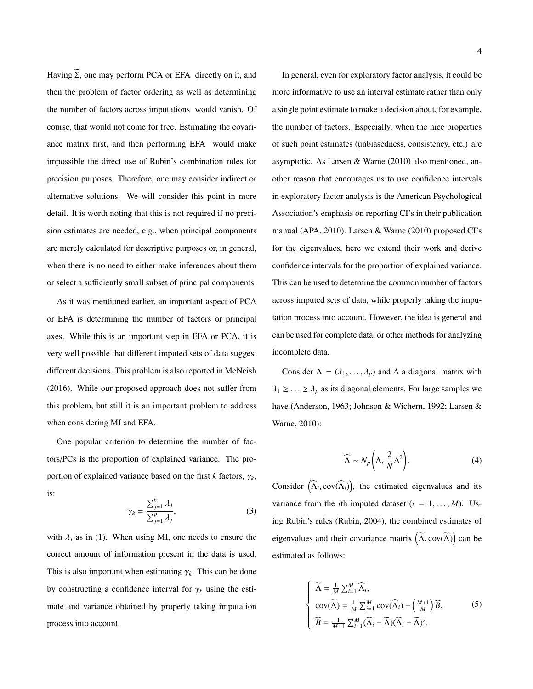Having  $\widetilde{\Sigma}$ , one may perform PCA or EFA directly on it, and then the problem of factor ordering as well as determining the number of factors across imputations would vanish. Of course, that would not come for free. Estimating the covariance matrix first, and then performing EFA would make impossible the direct use of Rubin's combination rules for precision purposes. Therefore, one may consider indirect or alternative solutions. We will consider this point in more detail. It is worth noting that this is not required if no precision estimates are needed, e.g., when principal components are merely calculated for descriptive purposes or, in general, when there is no need to either make inferences about them or select a sufficiently small subset of principal components.

As it was mentioned earlier, an important aspect of PCA or EFA is determining the number of factors or principal axes. While this is an important step in EFA or PCA, it is very well possible that different imputed sets of data suggest different decisions. This problem is also reported in McNeish (2016). While our proposed approach does not suffer from this problem, but still it is an important problem to address when considering MI and EFA.

One popular criterion to determine the number of factors/PCs is the proportion of explained variance. The proportion of explained variance based on the first  $k$  factors,  $\gamma_k$ , is:

$$
\gamma_k = \frac{\sum_{j=1}^k \lambda_j}{\sum_{j=1}^p \lambda_j},\tag{3}
$$

with  $\lambda_i$  as in (1). When using MI, one needs to ensure the correct amount of information present in the data is used. This is also important when estimating  $\gamma_k$ . This can be done by constructing a confidence interval for  $\gamma_k$  using the estimate and variance obtained by properly taking imputation process into account.

In general, even for exploratory factor analysis, it could be more informative to use an interval estimate rather than only a single point estimate to make a decision about, for example, the number of factors. Especially, when the nice properties of such point estimates (unbiasedness, consistency, etc.) are asymptotic. As Larsen & Warne (2010) also mentioned, another reason that encourages us to use confidence intervals in exploratory factor analysis is the American Psychological Association's emphasis on reporting CI's in their publication manual (APA, 2010). Larsen & Warne (2010) proposed CI's for the eigenvalues, here we extend their work and derive confidence intervals for the proportion of explained variance. This can be used to determine the common number of factors across imputed sets of data, while properly taking the imputation process into account. However, the idea is general and can be used for complete data, or other methods for analyzing incomplete data.

Consider  $\Lambda = (\lambda_1, \ldots, \lambda_p)$  and  $\Delta$  a diagonal matrix with  $\lambda_1 \geq \ldots \geq \lambda_p$  as its diagonal elements. For large samples we have (Anderson, 1963; Johnson & Wichern, 1992; Larsen & Warne, 2010):

$$
\widehat{\Lambda} \sim N_p \left( \Lambda, \frac{2}{N} \Delta^2 \right). \tag{4}
$$

Consider  $(\widehat{\Lambda}_i, cov(\widehat{\Lambda}_i))$ , the estimated eigenvalues and its variance from the *i*th imputed dataset  $(i = 1, \ldots, M)$ . Using Rubin's rules (Rubin, 2004), the combined estimates of eigenvalues and their covariance matrix  $(\widetilde{\Lambda}, cov(\widetilde{\Lambda}))$  can be estimated as follows:

$$
\begin{cases}\n\widetilde{\Lambda} = \frac{1}{M} \sum_{i=1}^{M} \widehat{\Lambda}_{i}, \\
\text{cov}(\widetilde{\Lambda}) = \frac{1}{M} \sum_{i=1}^{M} \text{cov}(\widehat{\Lambda}_{i}) + \left(\frac{M+1}{M}\right) \widehat{B}, \\
\widehat{B} = \frac{1}{M-1} \sum_{i=1}^{M} (\widehat{\Lambda}_{i} - \widetilde{\Lambda})(\widehat{\Lambda}_{i} - \widetilde{\Lambda})'.\n\end{cases}
$$
\n(5)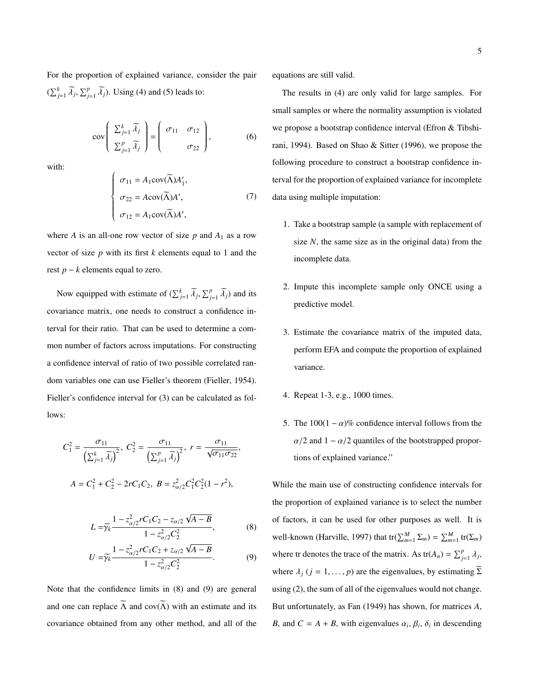For the proportion of explained variance, consider the pair  $(\sum_{j=1}^{k} \widetilde{\lambda}_j, \sum_{j=1}^{p} \widetilde{\lambda}_j)$ . Using (4) and (5) leads to:

$$
cov\left(\begin{array}{c}\sum_{j=1}^{k}\widetilde{\lambda}_{j} \\ \sum_{j=1}^{p}\widetilde{\lambda}_{j}\end{array}\right)=\left(\begin{array}{cc}\sigma_{11} & \sigma_{12} \\ \sigma_{22}\end{array}\right),\tag{6}
$$

with:

$$
\begin{cases}\n\sigma_{11} = A_1 \text{cov}(\widetilde{\Lambda}) A'_1, \\
\sigma_{22} = A \text{cov}(\widetilde{\Lambda}) A', \\
\sigma_{12} = A_1 \text{cov}(\widetilde{\Lambda}) A',\n\end{cases}
$$
\n(7)

where *A* is an all-one row vector of size  $p$  and  $A_1$  as a row vector of size *p* with its first *k* elements equal to 1 and the rest *p* − *k* elements equal to zero.

Now equipped with estimate of  $(\sum_{j=1}^{k} \widetilde{A}_{j}, \sum_{j=1}^{p} \widetilde{A}_{j})$  and its covariance matrix, one needs to construct a confidence interval for their ratio. That can be used to determine a common number of factors across imputations. For constructing a confidence interval of ratio of two possible correlated random variables one can use Fieller's theorem (Fieller, 1954). Fieller's confidence interval for (3) can be calculated as follows:

$$
C_1^2 = \frac{\sigma_{11}}{\left(\sum_{j=1}^k \widetilde{\lambda}_j\right)^2}, \ C_2^2 = \frac{\sigma_{11}}{\left(\sum_{j=1}^p \widetilde{\lambda}_j\right)^2}, \ r = \frac{\sigma_{11}}{\sqrt{\sigma_{11}\sigma_{22}}},
$$

$$
A = C_1^2 + C_2^2 - 2rC_1C_2, \ B = z_{\alpha/2}^2 C_1^2 C_2^2 (1 - r^2),
$$

$$
L = \widetilde{\gamma_k} \frac{1 - z_{\alpha/2}^2 r C_1 C_2 - z_{\alpha/2} \sqrt{A - B}}{1 - z_{\alpha/2}^2 C_2^2},
$$
 (8)

$$
U = \widetilde{\gamma_k} \frac{1 - z_{\alpha/2}^2 r C_1 C_2 + z_{\alpha/2} \sqrt{A - B}}{1 - z_{\alpha/2}^2 C_2^2}.
$$
 (9)

Note that the confidence limits in (8) and (9) are general and one can replace  $\widetilde{\Lambda}$  and cov( $\widetilde{\Lambda}$ ) with an estimate and its covariance obtained from any other method, and all of the equations are still valid.

The results in (4) are only valid for large samples. For small samples or where the normality assumption is violated we propose a bootstrap confidence interval (Efron & Tibshirani, 1994). Based on Shao & Sitter (1996), we propose the following procedure to construct a bootstrap confidence interval for the proportion of explained variance for incomplete data using multiple imputation:

- 1. Take a bootstrap sample (a sample with replacement of size *N*, the same size as in the original data) from the incomplete data.
- 2. Impute this incomplete sample only ONCE using a predictive model.
- 3. Estimate the covariance matrix of the imputed data, perform EFA and compute the proportion of explained variance.
- 4. Repeat 1-3, e.g., 1000 times.
- 5. The  $100(1 \alpha)$ % confidence interval follows from the  $\alpha/2$  and  $1 - \alpha/2$  quantiles of the bootstrapped proportions of explained variance."

While the main use of constructing confidence intervals for the proportion of explained variance is to select the number of factors, it can be used for other purposes as well. It is well-known (Harville, 1997) that  $tr(\sum_{m=1}^{M} \Sigma_m) = \sum_{m=1}^{M} tr(\Sigma_m)$ where tr denotes the trace of the matrix. As  $tr(A_n) = \sum_{j=1}^p \lambda_j$ , where  $\lambda_j$  ( $j = 1, ..., p$ ) are the eigenvalues, by estimating  $\Sigma$ using (2), the sum of all of the eigenvalues would not change. But unfortunately, as Fan (1949) has shown, for matrices *A*, *B*, and  $C = A + B$ , with eigenvalues  $\alpha_i$ ,  $\beta_i$ ,  $\delta_i$  in descending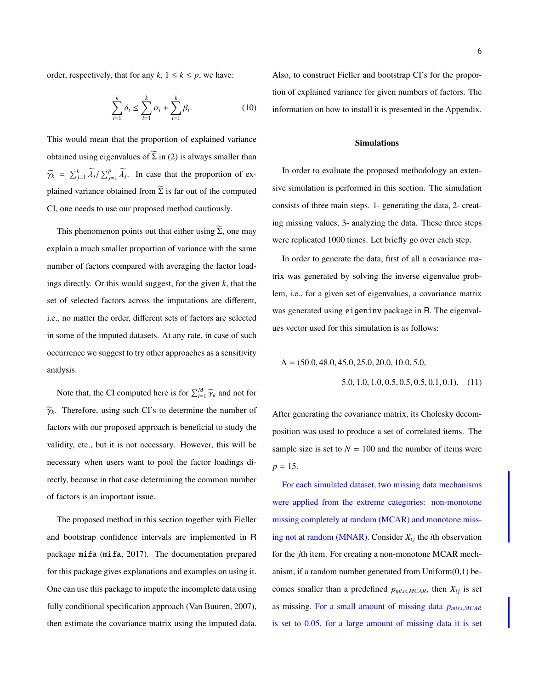order, respectively, that for any  $k$ ,  $1 \le k \le p$ , we have:

$$
\sum_{i=1}^{k} \delta_i \le \sum_{i=1}^{k} \alpha_i + \sum_{i=1}^{k} \beta_i.
$$
 (10)

This would mean that the proportion of explained variance obtained using eigenvalues of  $\widetilde{\Sigma}$  in (2) is always smaller than  $\widetilde{\gamma_k} = \sum_{j=1}^k \widetilde{\lambda_j} / \sum_{j=1}^p \widetilde{\lambda_j}$ . In case that the proportion of explained variance obtained from  $\widetilde{\Sigma}$  is far out of the computed CI, one needs to use our proposed method cautiously.

This phenomenon points out that either using  $\widetilde{\Sigma}$ , one may explain a much smaller proportion of variance with the same number of factors compared with averaging the factor loadings directly. Or this would suggest, for the given *k*, that the set of selected factors across the imputations are different, i.e., no matter the order, different sets of factors are selected in some of the imputed datasets. At any rate, in case of such occurrence we suggest to try other approaches as a sensitivity analysis.

Note that, the CI computed here is for  $\sum_{i=1}^{M} \hat{\gamma}_k$  and not for  $\widetilde{\gamma}_k$ . Therefore, using such CI's to determine the number of factors with our proposed approach is beneficial to study the validity, etc., but it is not necessary. However, this will be necessary when users want to pool the factor loadings directly, because in that case determining the common number of factors is an important issue.

The proposed method in this section together with Fieller and bootstrap confidence intervals are implemented in R package mifa (mifa, 2017). The documentation prepared for this package gives explanations and examples on using it. One can use this package to impute the incomplete data using fully conditional specification approach (Van Buuren, 2007), then estimate the covariance matrix using the imputed data.

Also, to construct Fieller and bootstrap CI's for the proportion of explained variance for given numbers of factors. The information on how to install it is presented in the Appendix.

### Simulations

In order to evaluate the proposed methodology an extensive simulation is performed in this section. The simulation consists of three main steps. 1- generating the data, 2- creating missing values, 3- analyzing the data. These three steps were replicated 1000 times. Let briefly go over each step.

In order to generate the data, first of all a covariance matrix was generated by solving the inverse eigenvalue problem, i.e., for a given set of eigenvalues, a covariance matrix was generated using eigeninv package in R. The eigenvalues vector used for this simulation is as follows:

$$
\Lambda = (50.0, 48.0, 45.0, 25.0, 20.0, 10.0, 5.0, 5.0, 1.0, 1.0, 0.5, 0.5, 0.5, 0.1, 0.1). \quad (11)
$$

After generating the covariance matrix, its Cholesky decomposition was used to produce a set of correlated items. The sample size is set to  $N = 100$  and the number of items were  $p = 15$ .

For each simulated dataset, two missing data mechanisms were applied from the extreme categories: non-monotone missing completely at random (MCAR) and monotone missing not at random (MNAR). Consider  $X_{ij}$  the *i*th observation for the *j*th item. For creating a non-monotone MCAR mechanism, if a random number generated from  $Uniform(0,1)$  becomes smaller than a predefined  $p_{miss,MCAR}$ , then  $X_{ij}$  is set as missing. For a small amount of missing data *<sup>p</sup>miss*,*MCAR* is set to 0.05, for a large amount of missing data it is set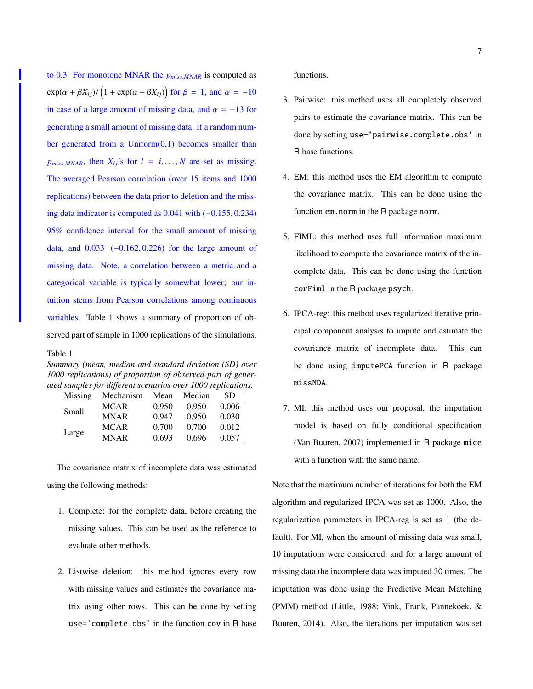to 0.3. For monotone MNAR the *<sup>p</sup>miss*,*MNAR* is computed as  $\exp(\alpha + \beta X_{ij}) / (1 + \exp(\alpha + \beta X_{ij}))$  for  $\beta = 1$ , and  $\alpha = -10$ in case of a large amount of missing data, and  $\alpha = -13$  for generating a small amount of missing data. If a random number generated from a  $Uniform(0,1)$  becomes smaller than  $p_{miss,MNAR}$ , then  $X_{lj}$ 's for  $l = i, ..., N$  are set as missing. The averaged Pearson correlation (over 15 items and 1000 replications) between the data prior to deletion and the missing data indicator is computed as 0.041 with (−0.155, <sup>0</sup>.234) 95% confidence interval for the small amount of missing data, and 0.033 (−0.162, <sup>0</sup>.226) for the large amount of missing data. Note, a correlation between a metric and a categorical variable is typically somewhat lower; our intuition stems from Pearson correlations among continuous variables. Table 1 shows a summary of proportion of observed part of sample in 1000 replications of the simulations.

Table 1

*Summary (mean, median and standard deviation (SD) over 1000 replications) of proportion of observed part of generated samples for di*ff*erent scenarios over 1000 replications.*

| Missing | Mechanism   | Mean  | Median | SD.   |
|---------|-------------|-------|--------|-------|
| Small   | <b>MCAR</b> | 0.950 | 0.950  | 0.006 |
|         | <b>MNAR</b> | 0.947 | 0.950  | 0.030 |
| Large   | <b>MCAR</b> | 0.700 | 0.700  | 0.012 |
|         | <b>MNAR</b> | 0.693 | 0.696  | 0.057 |

The covariance matrix of incomplete data was estimated using the following methods:

- 1. Complete: for the complete data, before creating the missing values. This can be used as the reference to evaluate other methods.
- 2. Listwise deletion: this method ignores every row with missing values and estimates the covariance matrix using other rows. This can be done by setting use='complete.obs' in the function cov in R base

functions.

- 3. Pairwise: this method uses all completely observed pairs to estimate the covariance matrix. This can be done by setting use='pairwise.complete.obs' in R base functions.
- 4. EM: this method uses the EM algorithm to compute the covariance matrix. This can be done using the function em.norm in the R package norm.
- 5. FIML: this method uses full information maximum likelihood to compute the covariance matrix of the incomplete data. This can be done using the function corFiml in the R package psych.
- 6. IPCA-reg: this method uses regularized iterative principal component analysis to impute and estimate the covariance matrix of incomplete data. This can be done using imputePCA function in R package missMDA.
- 7. MI: this method uses our proposal, the imputation model is based on fully conditional specification (Van Buuren, 2007) implemented in R package mice with a function with the same name.

Note that the maximum number of iterations for both the EM algorithm and regularized IPCA was set as 1000. Also, the regularization parameters in IPCA-reg is set as 1 (the default). For MI, when the amount of missing data was small, 10 imputations were considered, and for a large amount of missing data the incomplete data was imputed 30 times. The imputation was done using the Predictive Mean Matching (PMM) method (Little, 1988; Vink, Frank, Pannekoek, & Buuren, 2014). Also, the iterations per imputation was set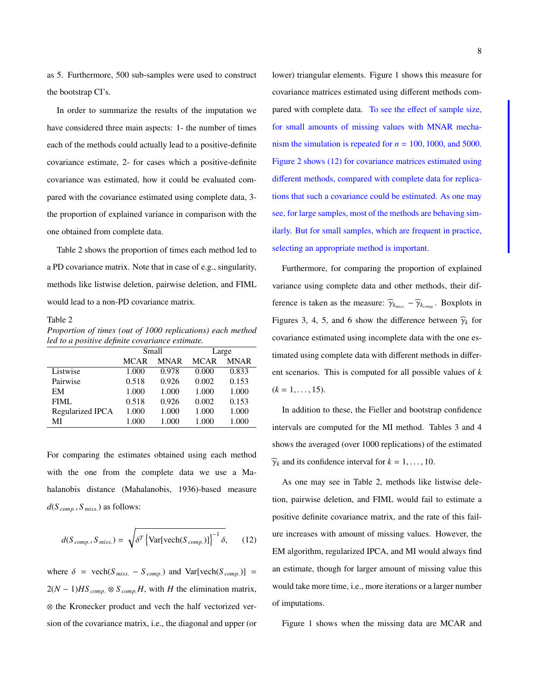as 5. Furthermore, 500 sub-samples were used to construct the bootstrap CI's.

In order to summarize the results of the imputation we have considered three main aspects: 1- the number of times each of the methods could actually lead to a positive-definite covariance estimate, 2- for cases which a positive-definite covariance was estimated, how it could be evaluated compared with the covariance estimated using complete data, 3 the proportion of explained variance in comparison with the one obtained from complete data.

Table 2 shows the proportion of times each method led to a PD covariance matrix. Note that in case of e.g., singularity, methods like listwise deletion, pairwise deletion, and FIML would lead to a non-PD covariance matrix.

#### Table 2

*Proportion of times (out of 1000 replications) each method led to a positive definite covariance estimate.*

|                  |             | Small       | Large       |             |  |
|------------------|-------------|-------------|-------------|-------------|--|
|                  | <b>MCAR</b> | <b>MNAR</b> | <b>MCAR</b> | <b>MNAR</b> |  |
| Listwise         | 1.000       | 0.978       | 0.000       | 0.833       |  |
| Pairwise         | 0.518       | 0.926       | 0.002       | 0.153       |  |
| EM               | 1.000       | 1.000       | 1.000       | 1.000       |  |
| FIML             | 0.518       | 0.926       | 0.002       | 0.153       |  |
| Regularized IPCA | 1.000       | 1.000       | 1.000       | 1.000       |  |
| МI               | 1.000       | 1.000       | 1.000       | 1.000       |  |

For comparing the estimates obtained using each method with the one from the complete data we use a Mahalanobis distance (Mahalanobis, 1936)-based measure *<sup>d</sup>*(*<sup>S</sup> comp*. , *<sup>S</sup> miss*.) as follows:

$$
d(S_{comp.}, S_{miss.}) = \sqrt{\delta^T \left\{ \text{Var}[\text{vech}(S_{comp.})] \right\}^{-1} \delta}, \qquad (12)
$$

where  $\delta$  = vech( $S_{miss.}$  –  $S_{comp.}$ ) and Var[vech( $S_{comp.}$ )] =  $2(N-1)HS_{comp.} \otimes S_{comp.}H$ , with *H* the elimination matrix, ⊗ the Kronecker product and vech the half vectorized version of the covariance matrix, i.e., the diagonal and upper (or lower) triangular elements. Figure 1 shows this measure for covariance matrices estimated using different methods compared with complete data. To see the effect of sample size, for small amounts of missing values with MNAR mechanism the simulation is repeated for  $n = 100, 1000$ , and 5000. Figure 2 shows (12) for covariance matrices estimated using different methods, compared with complete data for replications that such a covariance could be estimated. As one may see, for large samples, most of the methods are behaving similarly. But for small samples, which are frequent in practice, selecting an appropriate method is important.

Furthermore, for comparing the proportion of explained variance using complete data and other methods, their difference is taken as the measure:  $\hat{\gamma}_{k_{miss.}} - \hat{\gamma}_{k_{comp.}}$ . Boxplots in Figures 3, 4, 5, and 6 show the difference between  $\hat{\gamma}_k$  for covariance estimated using incomplete data with the one estimated using complete data with different methods in different scenarios. This is computed for all possible values of *k*  $(k = 1, \ldots, 15)$ .

In addition to these, the Fieller and bootstrap confidence intervals are computed for the MI method. Tables 3 and 4 shows the averaged (over 1000 replications) of the estimated  $\widehat{\gamma}_k$  and its confidence interval for  $k = 1, \ldots, 10$ .

As one may see in Table 2, methods like listwise deletion, pairwise deletion, and FIML would fail to estimate a positive definite covariance matrix, and the rate of this failure increases with amount of missing values. However, the EM algorithm, regularized IPCA, and MI would always find an estimate, though for larger amount of missing value this would take more time, i.e., more iterations or a larger number of imputations.

Figure 1 shows when the missing data are MCAR and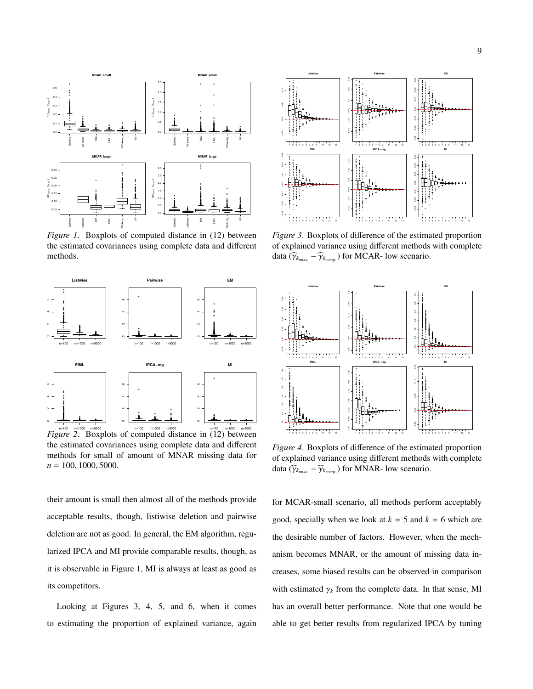

*Figure 1*. Boxplots of computed distance in (12) between the estimated covariances using complete data and different methods.



*Figure 2*. Boxplots of computed distance in (12) between the estimated covariances using complete data and different methods for small of amount of MNAR missing data for *<sup>n</sup>* <sup>=</sup> <sup>100</sup>, <sup>1000</sup>, 5000.

their amount is small then almost all of the methods provide acceptable results, though, listiwise deletion and pairwise deletion are not as good. In general, the EM algorithm, regularized IPCA and MI provide comparable results, though, as it is observable in Figure 1, MI is always at least as good as its competitors.

Looking at Figures 3, 4, 5, and 6, when it comes to estimating the proportion of explained variance, again



*Figure 3*. Boxplots of difference of the estimated proportion of explained variance using different methods with complete data ( $\widehat{\gamma}_{k_{miss.}} - \widehat{\gamma}_{k_{comp.}}$ ) for MCAR- low scenario.



*Figure 4*. Boxplots of difference of the estimated proportion of explained variance using different methods with complete data ( $\widehat{\gamma}_{k_{miss.}} - \widehat{\gamma}_{k_{comp.}}$ ) for MNAR- low scenario.

for MCAR-small scenario, all methods perform acceptably good, specially when we look at  $k = 5$  and  $k = 6$  which are the desirable number of factors. However, when the mechanism becomes MNAR, or the amount of missing data increases, some biased results can be observed in comparison with estimated  $\gamma_k$  from the complete data. In that sense, MI has an overall better performance. Note that one would be able to get better results from regularized IPCA by tuning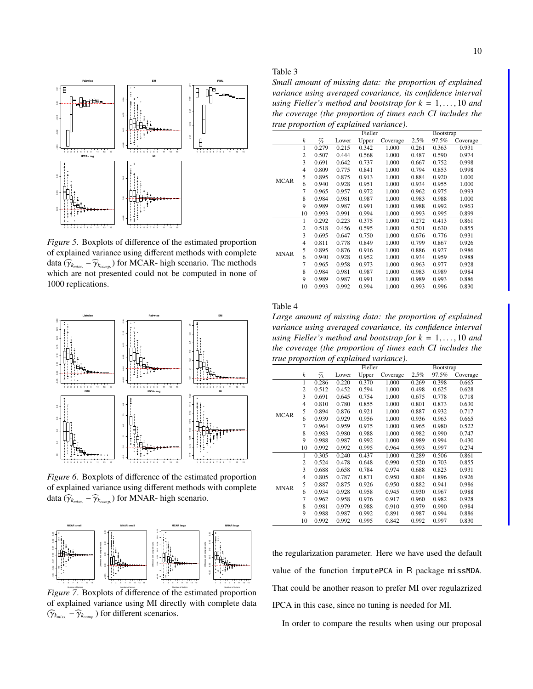

*Figure 5*. Boxplots of difference of the estimated proportion of explained variance using different methods with complete data  $(\widehat{\gamma}_{k_{miss}} - \widehat{\gamma}_{k_{comp}})$  for MCAR- high scenario. The methods which are not presented could not be computed in none of which are not presented could not be computed in none of 1000 replications.



*Figure 6*. Boxplots of difference of the estimated proportion of explained variance using different methods with complete data ( $\widehat{\gamma}_{k_{miss.}} - \widehat{\gamma}_{k_{comp.}}$ ) for MNAR- high scenario.



*Figure 7*. Boxplots of difference of the estimated proportion of explained variance using MI directly with complete data  $(\widehat{\gamma}_{k_{miss.}} - \widehat{\gamma}_{k_{comp.}})$  for different scenarios.

*Small amount of missing data: the proportion of explained variance using averaged covariance, its confidence interval using Fieller's method and bootstrap for*  $k = 1, \ldots, 10$  *and the coverage (the proportion of times each CI includes the true proportion of explained variance).*

|             |                |                      |       | Fieller |          |       | Bootstrap |          |
|-------------|----------------|----------------------|-------|---------|----------|-------|-----------|----------|
|             | k              | $\widehat{\gamma_k}$ | Lower | Upper   | Coverage | 2.5%  | 97.5%     | Coverage |
|             | 1              | 0.279                | 0.215 | 0.342   | 1.000    | 0.261 | 0.363     | 0.931    |
|             | $\overline{c}$ | 0.507                | 0.444 | 0.568   | 1.000    | 0.487 | 0.590     | 0.974    |
|             | 3              | 0.691                | 0.642 | 0.737   | 1.000    | 0.667 | 0.752     | 0.998    |
|             | $\overline{4}$ | 0.809                | 0.775 | 0.841   | 1.000    | 0.794 | 0.853     | 0.998    |
| <b>MCAR</b> | 5              | 0.895                | 0.875 | 0.913   | 1.000    | 0.884 | 0.920     | 1.000    |
|             | 6              | 0.940                | 0.928 | 0.951   | 1.000    | 0.934 | 0.955     | 1.000    |
|             | 7              | 0.965                | 0.957 | 0.972   | 1.000    | 0.962 | 0.975     | 0.993    |
|             | 8              | 0.984                | 0.981 | 0.987   | 1.000    | 0.983 | 0.988     | 1.000    |
|             | 9              | 0.989                | 0.987 | 0.991   | 1.000    | 0.988 | 0.992     | 0.963    |
|             | 10             | 0.993                | 0.991 | 0.994   | 1.000    | 0.993 | 0.995     | 0.899    |
|             | 1              | 0.292                | 0.223 | 0.375   | 1.000    | 0.272 | 0.413     | 0.861    |
|             | $\overline{c}$ | 0.518                | 0.456 | 0.595   | 1.000    | 0.501 | 0.630     | 0.855    |
|             | 3              | 0.695                | 0.647 | 0.750   | 1.000    | 0.676 | 0.776     | 0.931    |
|             | $\overline{4}$ | 0.811                | 0.778 | 0.849   | 1.000    | 0.799 | 0.867     | 0.926    |
| <b>MNAR</b> | 5              | 0.895                | 0.876 | 0.916   | 1.000    | 0.886 | 0.927     | 0.986    |
|             | 6              | 0.940                | 0.928 | 0.952   | 1.000    | 0.934 | 0.959     | 0.988    |
|             | 7              | 0.965                | 0.958 | 0.973   | 1.000    | 0.963 | 0.977     | 0.928    |
|             | 8              | 0.984                | 0.981 | 0.987   | 1.000    | 0.983 | 0.989     | 0.984    |
|             | 9              | 0.989                | 0.987 | 0.991   | 1.000    | 0.989 | 0.993     | 0.886    |
|             | 10             | 0.993                | 0.992 | 0.994   | 1.000    | 0.993 | 0.996     | 0.830    |

### Table 4

*Large amount of missing data: the proportion of explained variance using averaged covariance, its confidence interval using Fieller's method and bootstrap for*  $k = 1, \ldots, 10$  *and the coverage (the proportion of times each CI includes the true proportion of explained variance).*

|             |                |                      |       | Fieller |          | Bootstrap |       |          |
|-------------|----------------|----------------------|-------|---------|----------|-----------|-------|----------|
|             | k              | $\widehat{\gamma_k}$ | Lower | Upper   | Coverage | 2.5%      | 97.5% | Coverage |
|             | 1              | 0.286                | 0.220 | 0.370   | 1.000    | 0.269     | 0.398 | 0.665    |
|             | $\overline{2}$ | 0.512                | 0.452 | 0.594   | 1.000    | 0.498     | 0.625 | 0.628    |
|             | 3              | 0.691                | 0.645 | 0.754   | 1.000    | 0.675     | 0.778 | 0.718    |
|             | $\overline{4}$ | 0.810                | 0.780 | 0.855   | 1.000    | 0.801     | 0.873 | 0.630    |
| <b>MCAR</b> | 5              | 0.894                | 0.876 | 0.921   | 1.000    | 0.887     | 0.932 | 0.717    |
|             | 6              | 0.939                | 0.929 | 0.956   | 1.000    | 0.936     | 0.963 | 0.665    |
|             | 7              | 0.964                | 0.959 | 0.975   | 1.000    | 0.965     | 0.980 | 0.522    |
|             | 8              | 0.983                | 0.980 | 0.988   | 1.000    | 0.982     | 0.990 | 0.747    |
|             | 9              | 0.988                | 0.987 | 0.992   | 1.000    | 0.989     | 0.994 | 0.430    |
|             | 10             | 0.992                | 0.992 | 0.995   | 0.964    | 0.993     | 0.997 | 0.274    |
|             | 1              | 0.305                | 0.240 | 0.437   | 1.000    | 0.289     | 0.506 | 0.861    |
|             | $\overline{c}$ | 0.524                | 0.478 | 0.648   | 0.990    | 0.520     | 0.703 | 0.855    |
|             | 3              | 0.688                | 0.658 | 0.784   | 0.974    | 0.688     | 0.823 | 0.931    |
|             | $\overline{4}$ | 0.805                | 0.787 | 0.871   | 0.950    | 0.804     | 0.896 | 0.926    |
| <b>MNAR</b> | 5              | 0.887                | 0.875 | 0.926   | 0.950    | 0.882     | 0.941 | 0.986    |
|             | 6              | 0.934                | 0.928 | 0.958   | 0.945    | 0.930     | 0.967 | 0.988    |
|             | 7              | 0.962                | 0.958 | 0.976   | 0.917    | 0.960     | 0.982 | 0.928    |
|             | 8              | 0.981                | 0.979 | 0.988   | 0.910    | 0.979     | 0.990 | 0.984    |
|             | 9              | 0.988                | 0.987 | 0.992   | 0.891    | 0.987     | 0.994 | 0.886    |
|             | 10             | 0.992                | 0.992 | 0.995   | 0.842    | 0.992     | 0.997 | 0.830    |

the regularization parameter. Here we have used the default value of the function imputePCA in R package missMDA. That could be another reason to prefer MI over regulazrized IPCA in this case, since no tuning is needed for MI.

In order to compare the results when using our proposal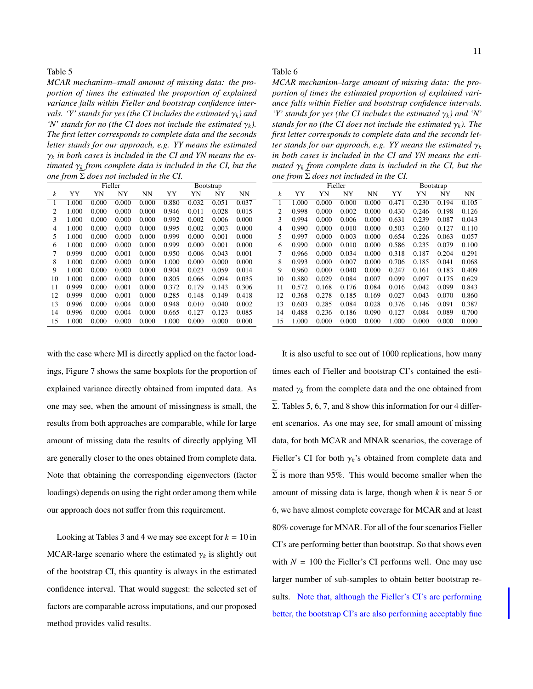*MCAR mechanism–small amount of missing data: the proportion of times the estimated the proportion of explained variance falls within Fieller and bootstrap confidence intervals.* 'Y' stands for yes (the CI includes the estimated  $\gamma_k$ ) and *'N'* stands for no (the CI does not include the estimated  $\gamma_k$ ). *The first letter corresponds to complete data and the seconds letter stands for our approach, e.g. YY means the estimated*  $\gamma_k$  *in both cases is included in the CI and YN means the estimated* <sup>γ</sup>*<sup>k</sup> from complete data is included in the CI, but the one from*  $\Sigma$  *does not included in the CI.* 

|                |       |       | Fieller |           | <b>B</b> ootstrap |       |       |           |  |
|----------------|-------|-------|---------|-----------|-------------------|-------|-------|-----------|--|
| k              | YY    | YN    | NY      | <b>NN</b> | YY                | YN    | NY    | <b>NN</b> |  |
| $\mathbf{1}$   | 1.000 | 0.000 | 0.000   | 0.000     | 0.880             | 0.032 | 0.051 | 0.037     |  |
| $\overline{c}$ | 1.000 | 0.000 | 0.000   | 0.000     | 0.946             | 0.011 | 0.028 | 0.015     |  |
| 3              | 1.000 | 0.000 | 0.000   | 0.000     | 0.992             | 0.002 | 0.006 | 0.000     |  |
| 4              | 1.000 | 0.000 | 0.000   | 0.000     | 0.995             | 0.002 | 0.003 | 0.000     |  |
| 5              | 1.000 | 0.000 | 0.000   | 0.000     | 0.999             | 0.000 | 0.001 | 0.000     |  |
| 6              | 1.000 | 0.000 | 0.000   | 0.000     | 0.999             | 0.000 | 0.001 | 0.000     |  |
| 7              | 0.999 | 0.000 | 0.001   | 0.000     | 0.950             | 0.006 | 0.043 | 0.001     |  |
| 8              | 1.000 | 0.000 | 0.000   | 0.000     | 1.000             | 0.000 | 0.000 | 0.000     |  |
| 9              | 1.000 | 0.000 | 0.000   | 0.000     | 0.904             | 0.023 | 0.059 | 0.014     |  |
| 10             | 1.000 | 0.000 | 0.000   | 0.000     | 0.805             | 0.066 | 0.094 | 0.035     |  |
| 11             | 0.999 | 0.000 | 0.001   | 0.000     | 0.372             | 0.179 | 0.143 | 0.306     |  |
| 12             | 0.999 | 0.000 | 0.001   | 0.000     | 0.285             | 0.148 | 0.149 | 0.418     |  |
| 13             | 0.996 | 0.000 | 0.004   | 0.000     | 0.948             | 0.010 | 0.040 | 0.002     |  |
| 14             | 0.996 | 0.000 | 0.004   | 0.000     | 0.665             | 0.127 | 0.123 | 0.085     |  |
| 15             | 1.000 | 0.000 | 0.000   | 0.000     | 1.000             | 0.000 | 0.000 | 0.000     |  |

with the case where MI is directly applied on the factor loadings, Figure 7 shows the same boxplots for the proportion of explained variance directly obtained from imputed data. As one may see, when the amount of missingness is small, the results from both approaches are comparable, while for large amount of missing data the results of directly applying MI are generally closer to the ones obtained from complete data. Note that obtaining the corresponding eigenvectors (factor loadings) depends on using the right order among them while our approach does not suffer from this requirement.

Looking at Tables 3 and 4 we may see except for  $k = 10$  in MCAR-large scenario where the estimated  $\gamma_k$  is slightly out of the bootstrap CI, this quantity is always in the estimated confidence interval. That would suggest: the selected set of factors are comparable across imputations, and our proposed method provides valid results.

#### Table 6

*MCAR mechanism–large amount of missing data: the proportion of times the estimated proportion of explained variance falls within Fieller and bootstrap confidence intervals. 'Y' stands for yes (the CI includes the estimated*  $\gamma_k$ ) and *'N' stands for no (the CI does not include the estimated*  $\gamma_k$ *). The first letter corresponds to complete data and the seconds letter stands for our approach, e.g. YY means the estimated*  $\gamma_k$ *in both cases is included in the CI and YN means the estimated* <sup>γ</sup>*<sup>k</sup> from complete data is included in the CI, but the*  $one from  $\Sigma$  does not included in the  $CI$ .$ 

|                  | Fieller |       |       |           |       | Bootstrap |       |       |  |  |
|------------------|---------|-------|-------|-----------|-------|-----------|-------|-------|--|--|
| $\boldsymbol{k}$ | YY      | YN    | NY    | <b>NN</b> | YY    | YN        | NY    | NN    |  |  |
| 1                | 1.000   | 0.000 | 0.000 | 0.000     | 0.471 | 0.230     | 0.194 | 0.105 |  |  |
| 2                | 0.998   | 0.000 | 0.002 | 0.000     | 0.430 | 0.246     | 0.198 | 0.126 |  |  |
| 3                | 0.994   | 0.000 | 0.006 | 0.000     | 0.631 | 0.239     | 0.087 | 0.043 |  |  |
| 4                | 0.990   | 0.000 | 0.010 | 0.000     | 0.503 | 0.260     | 0.127 | 0.110 |  |  |
| 5                | 0.997   | 0.000 | 0.003 | 0.000     | 0.654 | 0.226     | 0.063 | 0.057 |  |  |
| 6                | 0.990   | 0.000 | 0.010 | 0.000     | 0.586 | 0.235     | 0.079 | 0.100 |  |  |
| 7                | 0.966   | 0.000 | 0.034 | 0.000     | 0.318 | 0.187     | 0.204 | 0.291 |  |  |
| 8                | 0.993   | 0.000 | 0.007 | 0.000     | 0.706 | 0.185     | 0.041 | 0.068 |  |  |
| 9                | 0.960   | 0.000 | 0.040 | 0.000     | 0.247 | 0.161     | 0.183 | 0.409 |  |  |
| 10               | 0.880   | 0.029 | 0.084 | 0.007     | 0.099 | 0.097     | 0.175 | 0.629 |  |  |
| 11               | 0.572   | 0.168 | 0.176 | 0.084     | 0.016 | 0.042     | 0.099 | 0.843 |  |  |
| 12               | 0.368   | 0.278 | 0.185 | 0.169     | 0.027 | 0.043     | 0.070 | 0.860 |  |  |
| 13               | 0.603   | 0.285 | 0.084 | 0.028     | 0.376 | 0.146     | 0.091 | 0.387 |  |  |
| 14               | 0.488   | 0.236 | 0.186 | 0.090     | 0.127 | 0.084     | 0.089 | 0.700 |  |  |
| 15               | 1.000   | 0.000 | 0.000 | 0.000     | 1.000 | 0.000     | 0.000 | 0.000 |  |  |
|                  |         |       |       |           |       |           |       |       |  |  |

It is also useful to see out of 1000 replications, how many times each of Fieller and bootstrap CI's contained the estimated  $\gamma_k$  from the complete data and the one obtained from Σ. Tables 5, 6, 7, and 8 show this information for our 4 different scenarios. As one may see, for small amount of missing data, for both MCAR and MNAR scenarios, the coverage of Fieller's CI for both  $\gamma_k$ 's obtained from complete data and  $\Sigma$  is more than 95%. This would become smaller when the amount of missing data is large, though when *k* is near 5 or 6, we have almost complete coverage for MCAR and at least 80% coverage for MNAR. For all of the four scenarios Fieller CI's are performing better than bootstrap. So that shows even with  $N = 100$  the Fieller's CI performs well. One may use larger number of sub-samples to obtain better bootstrap results. Note that, although the Fieller's CI's are performing better, the bootstrap CI's are also performing acceptably fine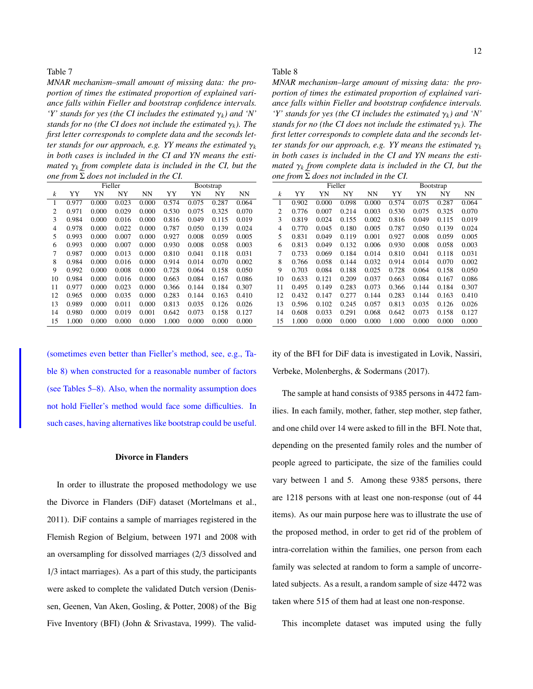*MNAR mechanism–small amount of missing data: the proportion of times the estimated proportion of explained variance falls within Fieller and bootstrap confidence intervals. 'Y' stands for yes (the CI includes the estimated*  $\gamma_k$ ) and *'N' stands for no (the CI does not include the estimated*  $\gamma_k$ *). The first letter corresponds to complete data and the seconds letter stands for our approach, e.g. YY means the estimated*  $\gamma_k$ *in both cases is included in the CI and YN means the estimated* <sup>γ</sup>*<sup>k</sup> from complete data is included in the CI, but the one from*  $\Sigma$  *does not included in the CI.* 

|                  | Fieller |       |       |           |       | <b>B</b> ootstrap |       |       |  |  |
|------------------|---------|-------|-------|-----------|-------|-------------------|-------|-------|--|--|
| $\boldsymbol{k}$ | YY      | YN    | NY    | <b>NN</b> | YY    | YN                | NY    | NN    |  |  |
| 1                | 0.977   | 0.000 | 0.023 | 0.000     | 0.574 | 0.075             | 0.287 | 0.064 |  |  |
| 2                | 0.971   | 0.000 | 0.029 | 0.000     | 0.530 | 0.075             | 0.325 | 0.070 |  |  |
| 3                | 0.984   | 0.000 | 0.016 | 0.000     | 0.816 | 0.049             | 0.115 | 0.019 |  |  |
| 4                | 0.978   | 0.000 | 0.022 | 0.000     | 0.787 | 0.050             | 0.139 | 0.024 |  |  |
| 5                | 0.993   | 0.000 | 0.007 | 0.000     | 0.927 | 0.008             | 0.059 | 0.005 |  |  |
| 6                | 0.993   | 0.000 | 0.007 | 0.000     | 0.930 | 0.008             | 0.058 | 0.003 |  |  |
| 7                | 0.987   | 0.000 | 0.013 | 0.000     | 0.810 | 0.041             | 0.118 | 0.031 |  |  |
| 8                | 0.984   | 0.000 | 0.016 | 0.000     | 0.914 | 0.014             | 0.070 | 0.002 |  |  |
| 9                | 0.992   | 0.000 | 0.008 | 0.000     | 0.728 | 0.064             | 0.158 | 0.050 |  |  |
| 10               | 0.984   | 0.000 | 0.016 | 0.000     | 0.663 | 0.084             | 0.167 | 0.086 |  |  |
| 11               | 0.977   | 0.000 | 0.023 | 0.000     | 0.366 | 0.144             | 0.184 | 0.307 |  |  |
| 12               | 0.965   | 0.000 | 0.035 | 0.000     | 0.283 | 0.144             | 0.163 | 0.410 |  |  |
| 13               | 0.989   | 0.000 | 0.011 | 0.000     | 0.813 | 0.035             | 0.126 | 0.026 |  |  |
| 14               | 0.980   | 0.000 | 0.019 | 0.001     | 0.642 | 0.073             | 0.158 | 0.127 |  |  |
| 15               | 1.000   | 0.000 | 0.000 | 0.000     | 1.000 | 0.000             | 0.000 | 0.000 |  |  |

(sometimes even better than Fieller's method, see, e.g., Table 8) when constructed for a reasonable number of factors (see Tables 5–8). Also, when the normality assumption does not hold Fieller's method would face some difficulties. In such cases, having alternatives like bootstrap could be useful.

#### Divorce in Flanders

In order to illustrate the proposed methodology we use the Divorce in Flanders (DiF) dataset (Mortelmans et al., 2011). DiF contains a sample of marriages registered in the Flemish Region of Belgium, between 1971 and 2008 with an oversampling for dissolved marriages (2/3 dissolved and 1/3 intact marriages). As a part of this study, the participants were asked to complete the validated Dutch version (Denissen, Geenen, Van Aken, Gosling, & Potter, 2008) of the Big Five Inventory (BFI) (John & Srivastava, 1999). The valid-

### Table 8

*MNAR mechanism–large amount of missing data: the proportion of times the estimated proportion of explained variance falls within Fieller and bootstrap confidence intervals. 'Y' stands for yes (the CI includes the estimated*  $\gamma_k$ ) and *'N' stands for no (the CI does not include the estimated*  $\gamma_k$ *). The first letter corresponds to complete data and the seconds letter stands for our approach, e.g. YY means the estimated*  $\gamma_k$ *in both cases is included in the CI and YN means the estimated* <sup>γ</sup>*<sup>k</sup> from complete data is included in the CI, but the*  $one from  $\Sigma$  does not included in the  $CI$ .$ 

|                  | Fieller |       |       |           |       | Bootstrap |       |           |  |  |
|------------------|---------|-------|-------|-----------|-------|-----------|-------|-----------|--|--|
| $\boldsymbol{k}$ | YY      | YN    | NY    | <b>NN</b> | YY    | YN        | NY    | <b>NN</b> |  |  |
| $\mathbf{1}$     | 0.902   | 0.000 | 0.098 | 0.000     | 0.574 | 0.075     | 0.287 | 0.064     |  |  |
| 2                | 0.776   | 0.007 | 0.214 | 0.003     | 0.530 | 0.075     | 0.325 | 0.070     |  |  |
| 3                | 0.819   | 0.024 | 0.155 | 0.002     | 0.816 | 0.049     | 0.115 | 0.019     |  |  |
| $\overline{4}$   | 0.770   | 0.045 | 0.180 | 0.005     | 0.787 | 0.050     | 0.139 | 0.024     |  |  |
| 5                | 0.831   | 0.049 | 0.119 | 0.001     | 0.927 | 0.008     | 0.059 | 0.005     |  |  |
| 6                | 0.813   | 0.049 | 0.132 | 0.006     | 0.930 | 0.008     | 0.058 | 0.003     |  |  |
| 7                | 0.733   | 0.069 | 0.184 | 0.014     | 0.810 | 0.041     | 0.118 | 0.031     |  |  |
| 8                | 0.766   | 0.058 | 0.144 | 0.032     | 0.914 | 0.014     | 0.070 | 0.002     |  |  |
| 9                | 0.703   | 0.084 | 0.188 | 0.025     | 0.728 | 0.064     | 0.158 | 0.050     |  |  |
| 10               | 0.633   | 0.121 | 0.209 | 0.037     | 0.663 | 0.084     | 0.167 | 0.086     |  |  |
| 11               | 0.495   | 0.149 | 0.283 | 0.073     | 0.366 | 0.144     | 0.184 | 0.307     |  |  |
| 12               | 0.432   | 0.147 | 0.277 | 0.144     | 0.283 | 0.144     | 0.163 | 0.410     |  |  |
| 13               | 0.596   | 0.102 | 0.245 | 0.057     | 0.813 | 0.035     | 0.126 | 0.026     |  |  |
| 14               | 0.608   | 0.033 | 0.291 | 0.068     | 0.642 | 0.073     | 0.158 | 0.127     |  |  |
| 15               | 1.000   | 0.000 | 0.000 | 0.000     | 1.000 | 0.000     | 0.000 | 0.000     |  |  |

ity of the BFI for DiF data is investigated in Lovik, Nassiri, Verbeke, Molenberghs, & Sodermans (2017).

The sample at hand consists of 9385 persons in 4472 families. In each family, mother, father, step mother, step father, and one child over 14 were asked to fill in the BFI. Note that, depending on the presented family roles and the number of people agreed to participate, the size of the families could vary between 1 and 5. Among these 9385 persons, there are 1218 persons with at least one non-response (out of 44 items). As our main purpose here was to illustrate the use of the proposed method, in order to get rid of the problem of intra-correlation within the families, one person from each family was selected at random to form a sample of uncorrelated subjects. As a result, a random sample of size 4472 was taken where 515 of them had at least one non-response.

This incomplete dataset was imputed using the fully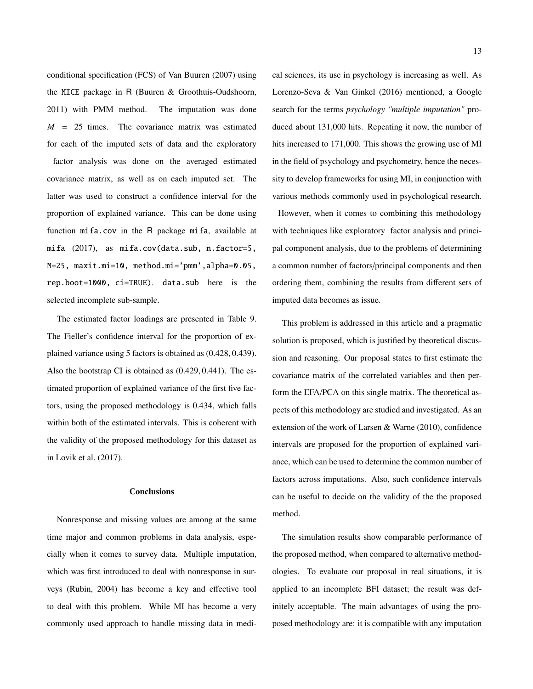conditional specification (FCS) of Van Buuren (2007) using the MICE package in R (Buuren & Groothuis-Oudshoorn, 2011) with PMM method. The imputation was done *M* = 25 times. The covariance matrix was estimated for each of the imputed sets of data and the exploratory factor analysis was done on the averaged estimated covariance matrix, as well as on each imputed set. The latter was used to construct a confidence interval for the proportion of explained variance. This can be done using function mifa.cov in the R package mifa, available at mifa (2017), as mifa.cov(data.sub, n.factor=5, M=25, maxit.mi=10, method.mi='pmm',alpha=0.05, rep.boot=1000, ci=TRUE). data.sub here is the selected incomplete sub-sample.

The estimated factor loadings are presented in Table 9. The Fieller's confidence interval for the proportion of explained variance using 5 factors is obtained as (0.428, <sup>0</sup>.439). Also the bootstrap CI is obtained as (0.429, <sup>0</sup>.441). The estimated proportion of explained variance of the first five factors, using the proposed methodology is 0.434, which falls within both of the estimated intervals. This is coherent with the validity of the proposed methodology for this dataset as in Lovik et al. (2017).

#### **Conclusions**

Nonresponse and missing values are among at the same time major and common problems in data analysis, especially when it comes to survey data. Multiple imputation, which was first introduced to deal with nonresponse in surveys (Rubin, 2004) has become a key and effective tool to deal with this problem. While MI has become a very commonly used approach to handle missing data in medical sciences, its use in psychology is increasing as well. As Lorenzo-Seva & Van Ginkel (2016) mentioned, a Google search for the terms *psychology "multiple imputation"* produced about 131,000 hits. Repeating it now, the number of hits increased to 171,000. This shows the growing use of MI in the field of psychology and psychometry, hence the necessity to develop frameworks for using MI, in conjunction with various methods commonly used in psychological research.

However, when it comes to combining this methodology with techniques like exploratory factor analysis and principal component analysis, due to the problems of determining a common number of factors/principal components and then ordering them, combining the results from different sets of imputed data becomes as issue.

This problem is addressed in this article and a pragmatic solution is proposed, which is justified by theoretical discussion and reasoning. Our proposal states to first estimate the covariance matrix of the correlated variables and then perform the EFA/PCA on this single matrix. The theoretical aspects of this methodology are studied and investigated. As an extension of the work of Larsen & Warne (2010), confidence intervals are proposed for the proportion of explained variance, which can be used to determine the common number of factors across imputations. Also, such confidence intervals can be useful to decide on the validity of the the proposed method.

The simulation results show comparable performance of the proposed method, when compared to alternative methodologies. To evaluate our proposal in real situations, it is applied to an incomplete BFI dataset; the result was definitely acceptable. The main advantages of using the proposed methodology are: it is compatible with any imputation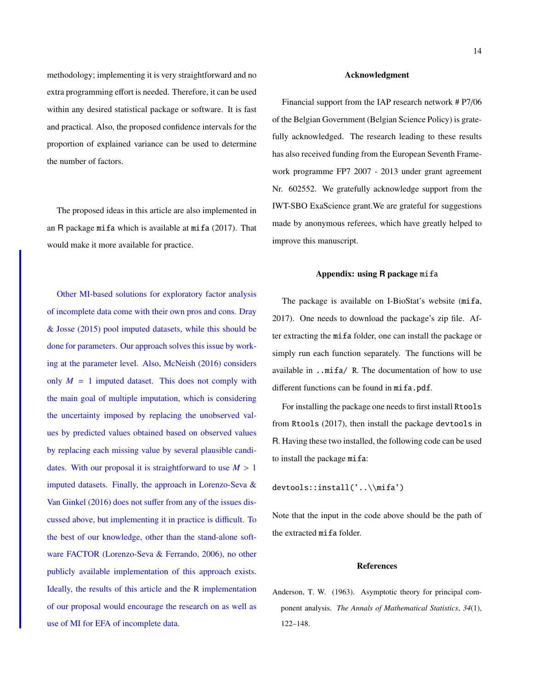methodology; implementing it is very straightforward and no extra programming effort is needed. Therefore, it can be used within any desired statistical package or software. It is fast and practical. Also, the proposed confidence intervals for the proportion of explained variance can be used to determine the number of factors.

The proposed ideas in this article are also implemented in an R package mifa which is available at mifa  $(2017)$ . That would make it more available for practice.

Other MI-based solutions for exploratory factor analysis of incomplete data come with their own pros and cons. Dray & Josse (2015) pool imputed datasets, while this should be done for parameters. Our approach solves this issue by working at the parameter level. Also, McNeish (2016) considers only  $M = 1$  imputed dataset. This does not comply with the main goal of multiple imputation, which is considering the uncertainty imposed by replacing the unobserved values by predicted values obtained based on observed values by replacing each missing value by several plausible candidates. With our proposal it is straightforward to use  $M > 1$ imputed datasets. Finally, the approach in Lorenzo-Seva & Van Ginkel (2016) does not suffer from any of the issues discussed above, but implementing it in practice is difficult. To the best of our knowledge, other than the stand-alone software FACTOR (Lorenzo-Seva & Ferrando, 2006), no other publicly available implementation of this approach exists. Ideally, the results of this article and the R implementation of our proposal would encourage the research on as well as use of MI for EFA of incomplete data.

#### Acknowledgment

Financial support from the IAP research network # P7/06 of the Belgian Government (Belgian Science Policy) is gratefully acknowledged. The research leading to these results has also received funding from the European Seventh Framework programme FP7 2007 - 2013 under grant agreement Nr. 602552. We gratefully acknowledge support from the IWT-SBO ExaScience grant.We are grateful for suggestions made by anonymous referees, which have greatly helped to improve this manuscript.

#### Appendix: using **R** package mifa

The package is available on I-BioStat's website (mifa, 2017). One needs to download the package's zip file. After extracting the mifa folder, one can install the package or simply run each function separately. The functions will be available in ..mifa/ R. The documentation of how to use different functions can be found in mifa.pdf.

For installing the package one needs to first install Rtools from Rtools (2017), then install the package devtools in R. Having these two installed, the following code can be used to install the package mifa:

devtools::install('..\\mifa')

Note that the input in the code above should be the path of the extracted mifa folder.

#### References

Anderson, T. W. (1963). Asymptotic theory for principal component analysis. *The Annals of Mathematical Statistics*, *34*(1), 122–148.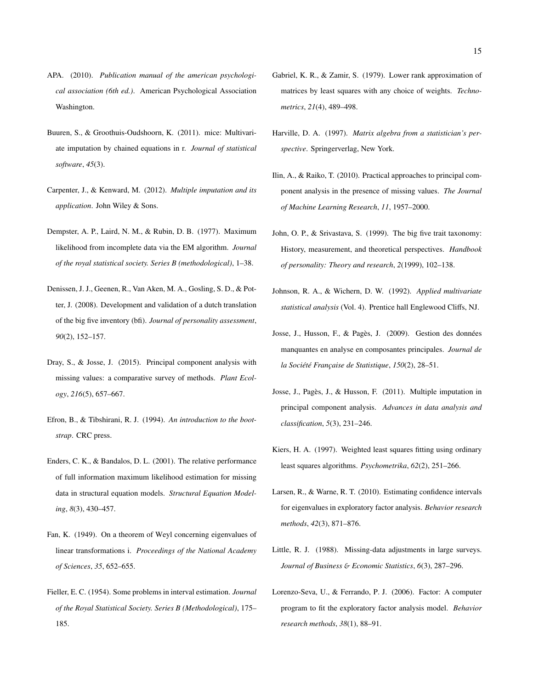- APA. (2010). *Publication manual of the american psychological association (6th ed.)*. American Psychological Association Washington.
- Buuren, S., & Groothuis-Oudshoorn, K. (2011). mice: Multivariate imputation by chained equations in r. *Journal of statistical software*, *45*(3).
- Carpenter, J., & Kenward, M. (2012). *Multiple imputation and its application*. John Wiley & Sons.
- Dempster, A. P., Laird, N. M., & Rubin, D. B. (1977). Maximum likelihood from incomplete data via the EM algorithm. *Journal of the royal statistical society. Series B (methodological)*, 1–38.
- Denissen, J. J., Geenen, R., Van Aken, M. A., Gosling, S. D., & Potter, J. (2008). Development and validation of a dutch translation of the big five inventory (bfi). *Journal of personality assessment*, *90*(2), 152–157.
- Dray, S., & Josse, J. (2015). Principal component analysis with missing values: a comparative survey of methods. *Plant Ecology*, *216*(5), 657–667.
- Efron, B., & Tibshirani, R. J. (1994). *An introduction to the bootstrap*. CRC press.
- Enders, C. K., & Bandalos, D. L. (2001). The relative performance of full information maximum likelihood estimation for missing data in structural equation models. *Structural Equation Modeling*, *8*(3), 430–457.
- Fan, K. (1949). On a theorem of Weyl concerning eigenvalues of linear transformations i. *Proceedings of the National Academy of Sciences*, *35*, 652–655.
- Fieller, E. C. (1954). Some problems in interval estimation. *Journal of the Royal Statistical Society. Series B (Methodological)*, 175– 185.
- Gabriel, K. R., & Zamir, S. (1979). Lower rank approximation of matrices by least squares with any choice of weights. *Technometrics*, *21*(4), 489–498.
- Harville, D. A. (1997). *Matrix algebra from a statistician's perspective*. Springerverlag, New York.
- Ilin, A., & Raiko, T. (2010). Practical approaches to principal component analysis in the presence of missing values. *The Journal of Machine Learning Research*, *11*, 1957–2000.
- John, O. P., & Srivastava, S. (1999). The big five trait taxonomy: History, measurement, and theoretical perspectives. *Handbook of personality: Theory and research*, *2*(1999), 102–138.
- Johnson, R. A., & Wichern, D. W. (1992). *Applied multivariate statistical analysis* (Vol. 4). Prentice hall Englewood Cliffs, NJ.
- Josse, J., Husson, F., & Pagès, J. (2009). Gestion des données manquantes en analyse en composantes principales. *Journal de la Société Française de Statistique*, *150*(2), 28–51.
- Josse, J., Pagès, J., & Husson, F. (2011). Multiple imputation in principal component analysis. *Advances in data analysis and classification*, *5*(3), 231–246.
- Kiers, H. A. (1997). Weighted least squares fitting using ordinary least squares algorithms. *Psychometrika*, *62*(2), 251–266.
- Larsen, R., & Warne, R. T. (2010). Estimating confidence intervals for eigenvalues in exploratory factor analysis. *Behavior research methods*, *42*(3), 871–876.
- Little, R. J. (1988). Missing-data adjustments in large surveys. *Journal of Business* & *Economic Statistics*, *6*(3), 287–296.
- Lorenzo-Seva, U., & Ferrando, P. J. (2006). Factor: A computer program to fit the exploratory factor analysis model. *Behavior research methods*, *38*(1), 88–91.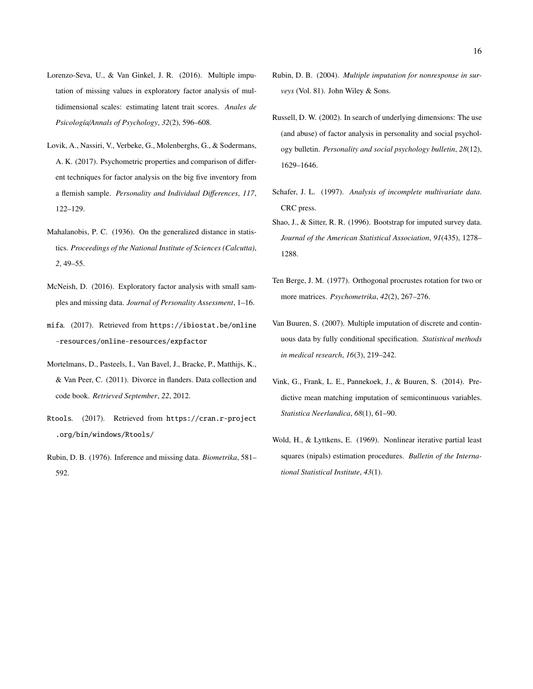- Lorenzo-Seva, U., & Van Ginkel, J. R. (2016). Multiple imputation of missing values in exploratory factor analysis of multidimensional scales: estimating latent trait scores. *Anales de Psicología*/*Annals of Psychology*, *32*(2), 596–608.
- Lovik, A., Nassiri, V., Verbeke, G., Molenberghs, G., & Sodermans, A. K. (2017). Psychometric properties and comparison of different techniques for factor analysis on the big five inventory from a flemish sample. *Personality and Individual Di*ff*erences*, *117*, 122–129.
- Mahalanobis, P. C. (1936). On the generalized distance in statistics. *Proceedings of the National Institute of Sciences (Calcutta)*, *2*, 49–55.
- McNeish, D. (2016). Exploratory factor analysis with small samples and missing data. *Journal of Personality Assessment*, 1–16.
- mifa*.* (2017). Retrieved from https://ibiostat.be/online -resources/online-resources/expfactor
- Mortelmans, D., Pasteels, I., Van Bavel, J., Bracke, P., Matthijs, K., & Van Peer, C. (2011). Divorce in flanders. Data collection and code book. *Retrieved September*, *22*, 2012.
- Rtools*.* (2017). Retrieved from https://cran.r-project .org/bin/windows/Rtools/
- Rubin, D. B. (1976). Inference and missing data. *Biometrika*, 581– 592.
- Rubin, D. B. (2004). *Multiple imputation for nonresponse in surveys* (Vol. 81). John Wiley & Sons.
- Russell, D. W. (2002). In search of underlying dimensions: The use (and abuse) of factor analysis in personality and social psychology bulletin. *Personality and social psychology bulletin*, *28*(12), 1629–1646.
- Schafer, J. L. (1997). *Analysis of incomplete multivariate data*. CRC press.
- Shao, J., & Sitter, R. R. (1996). Bootstrap for imputed survey data. *Journal of the American Statistical Association*, *91*(435), 1278– 1288.
- Ten Berge, J. M. (1977). Orthogonal procrustes rotation for two or more matrices. *Psychometrika*, *42*(2), 267–276.
- Van Buuren, S. (2007). Multiple imputation of discrete and continuous data by fully conditional specification. *Statistical methods in medical research*, *16*(3), 219–242.
- Vink, G., Frank, L. E., Pannekoek, J., & Buuren, S. (2014). Predictive mean matching imputation of semicontinuous variables. *Statistica Neerlandica*, *68*(1), 61–90.
- Wold, H., & Lyttkens, E. (1969). Nonlinear iterative partial least squares (nipals) estimation procedures. *Bulletin of the International Statistical Institute*, *43*(1).